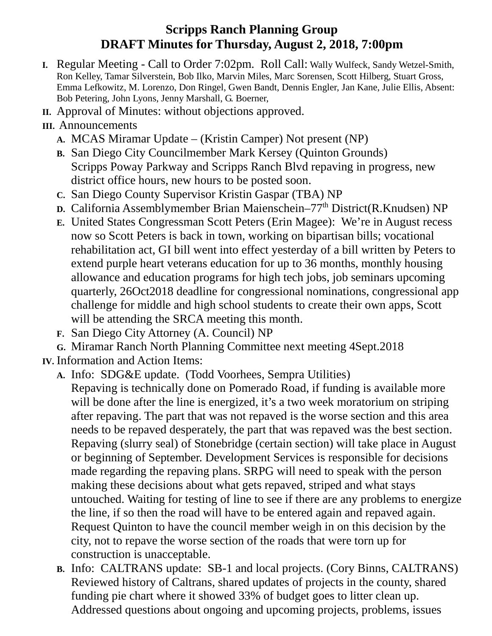## **Scripps Ranch Planning Group DRAFT Minutes for Thursday, August 2, 2018, 7:00pm**

- **I.** Regular Meeting Call to Order 7:02pm. Roll Call: Wally Wulfeck, Sandy Wetzel-Smith, Ron Kelley, Tamar Silverstein, Bob Ilko, Marvin Miles, Marc Sorensen, Scott Hilberg, Stuart Gross, Emma Lefkowitz, M. Lorenzo, Don Ringel, Gwen Bandt, Dennis Engler, Jan Kane, Julie Ellis, Absent: Bob Petering, John Lyons, Jenny Marshall, G. Boerner,
- **II.** Approval of Minutes: without objections approved.
- **III.** Announcements
	- **A.** MCAS Miramar Update (Kristin Camper) Not present (NP)
	- **B.** San Diego City Councilmember Mark Kersey (Quinton Grounds) Scripps Poway Parkway and Scripps Ranch Blvd repaving in progress, new district office hours, new hours to be posted soon.
	- **C.** San Diego County Supervisor Kristin Gaspar (TBA) NP
	- **D.** California Assemblymember Brian Maienschein–77<sup>th</sup> District(R.Knudsen) NP
	- **E.** United States Congressman Scott Peters (Erin Magee): We're in August recess now so Scott Peters is back in town, working on bipartisan bills; vocational rehabilitation act, GI bill went into effect yesterday of a bill written by Peters to extend purple heart veterans education for up to 36 months, monthly housing allowance and education programs for high tech jobs, job seminars upcoming quarterly, 26Oct2018 deadline for congressional nominations, congressional app challenge for middle and high school students to create their own apps, Scott will be attending the SRCA meeting this month.
	- **F.** San Diego City Attorney (A. Council) NP
	- **G.** Miramar Ranch North Planning Committee next meeting 4Sept.2018
- **IV.** Information and Action Items:
	- **A.** Info: SDG&E update. (Todd Voorhees, Sempra Utilities) Repaving is technically done on Pomerado Road, if funding is available more will be done after the line is energized, it's a two week moratorium on striping after repaving. The part that was not repaved is the worse section and this area needs to be repaved desperately, the part that was repaved was the best section. Repaving (slurry seal) of Stonebridge (certain section) will take place in August or beginning of September. Development Services is responsible for decisions made regarding the repaving plans. SRPG will need to speak with the person making these decisions about what gets repaved, striped and what stays untouched. Waiting for testing of line to see if there are any problems to energize the line, if so then the road will have to be entered again and repaved again. Request Quinton to have the council member weigh in on this decision by the city, not to repave the worse section of the roads that were torn up for construction is unacceptable.
	- **B.** Info: CALTRANS update: SB-1 and local projects. (Cory Binns, CALTRANS) Reviewed history of Caltrans, shared updates of projects in the county, shared funding pie chart where it showed 33% of budget goes to litter clean up. Addressed questions about ongoing and upcoming projects, problems, issues